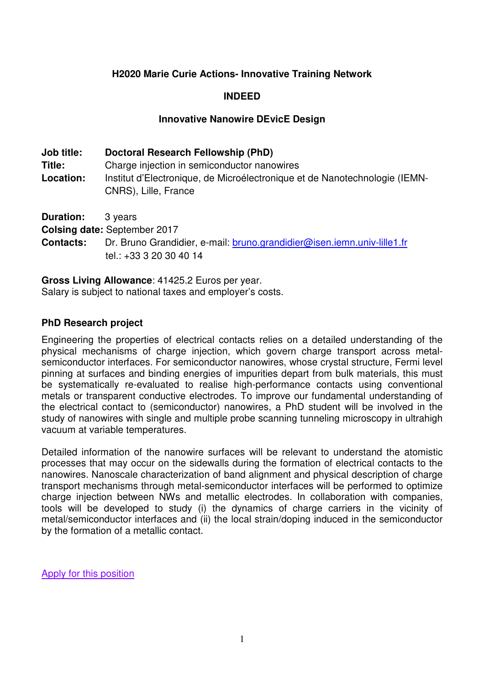### **H2020 Marie Curie Actions- Innovative Training Network**

### **INDEED**

### **Innovative Nanowire DEvicE Design**

| <b>Job title:</b> | Doctoral Research Fellowship (PhD)                                                                 |
|-------------------|----------------------------------------------------------------------------------------------------|
| Title:            | Charge injection in semiconductor nanowires                                                        |
| Location:         | Institut d'Electronique, de Microélectronique et de Nanotechnologie (IEMN-<br>CNRS), Lille, France |

**Duration:** 3 years

**Colsing date:** September 2017

**Contacts:** Dr. Bruno Grandidier, e-mail: bruno.grandidier@isen.iemn.univ-lille1.fr tel.: +33 3 20 30 40 14

**Gross Living Allowance**: 41425.2 Euros per year.

Salary is subject to national taxes and employer's costs.

### **PhD Research project**

Engineering the properties of electrical contacts relies on a detailed understanding of the physical mechanisms of charge injection, which govern charge transport across metalsemiconductor interfaces. For semiconductor nanowires, whose crystal structure, Fermi level pinning at surfaces and binding energies of impurities depart from bulk materials, this must be systematically re-evaluated to realise high-performance contacts using conventional metals or transparent conductive electrodes. To improve our fundamental understanding of the electrical contact to (semiconductor) nanowires, a PhD student will be involved in the study of nanowires with single and multiple probe scanning tunneling microscopy in ultrahigh vacuum at variable temperatures.

Detailed information of the nanowire surfaces will be relevant to understand the atomistic processes that may occur on the sidewalls during the formation of electrical contacts to the nanowires. Nanoscale characterization of band alignment and physical description of charge transport mechanisms through metal-semiconductor interfaces will be performed to optimize charge injection between NWs and metallic electrodes. In collaboration with companies, tools will be developed to study (i) the dynamics of charge carriers in the vicinity of metal/semiconductor interfaces and (ii) the local strain/doping induced in the semiconductor by the formation of a metallic contact.

Apply for this position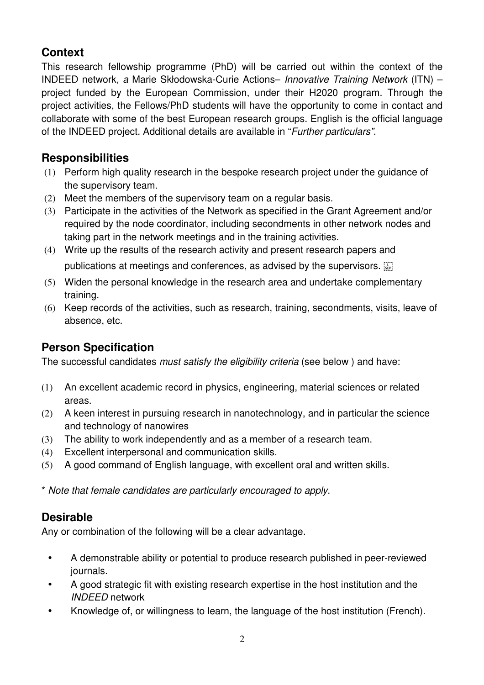# **Context**

This research fellowship programme (PhD) will be carried out within the context of the INDEED network, a Marie Skłodowska-Curie Actions– Innovative Training Network (ITN) – project funded by the European Commission, under their H2020 program. Through the project activities, the Fellows/PhD students will have the opportunity to come in contact and collaborate with some of the best European research groups. English is the official language of the INDEED project. Additional details are available in "Further particulars".

## **Responsibilities**

- (1) Perform high quality research in the bespoke research project under the guidance of the supervisory team.
- (2) Meet the members of the supervisory team on a regular basis.
- (3) Participate in the activities of the Network as specified in the Grant Agreement and/or required by the node coordinator, including secondments in other network nodes and taking part in the network meetings and in the training activities.
- (4) Write up the results of the research activity and present research papers and publications at meetings and conferences, as advised by the supervisors.
- (5) Widen the personal knowledge in the research area and undertake complementary training.
- (6) Keep records of the activities, such as research, training, secondments, visits, leave of absence, etc.

## **Person Specification**

The successful candidates *must satisfy the eligibility criteria* (see below) and have:

- (1) An excellent academic record in physics, engineering, material sciences or related areas.
- (2) A keen interest in pursuing research in nanotechnology, and in particular the science and technology of nanowires
- (3) The ability to work independently and as a member of a research team.
- (4) Excellent interpersonal and communication skills.
- (5) A good command of English language, with excellent oral and written skills.

\* Note that female candidates are particularly encouraged to apply.

## **Desirable**

Any or combination of the following will be a clear advantage.

- A demonstrable ability or potential to produce research published in peer-reviewed journals.
- A good strategic fit with existing research expertise in the host institution and the INDEED network
- Knowledge of, or willingness to learn, the language of the host institution (French).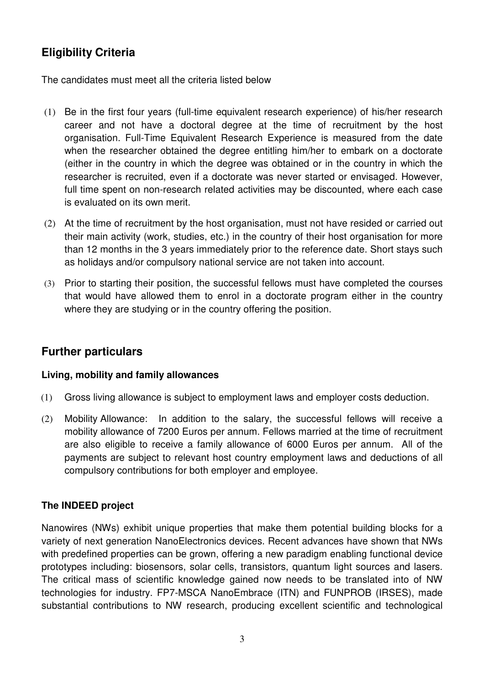## **Eligibility Criteria**

The candidates must meet all the criteria listed below

- (1) Be in the first four years (full-time equivalent research experience) of his/her research career and not have a doctoral degree at the time of recruitment by the host organisation. Full-Time Equivalent Research Experience is measured from the date when the researcher obtained the degree entitling him/her to embark on a doctorate (either in the country in which the degree was obtained or in the country in which the researcher is recruited, even if a doctorate was never started or envisaged. However, full time spent on non-research related activities may be discounted, where each case is evaluated on its own merit.
- (2) At the time of recruitment by the host organisation, must not have resided or carried out their main activity (work, studies, etc.) in the country of their host organisation for more than 12 months in the 3 years immediately prior to the reference date. Short stays such as holidays and/or compulsory national service are not taken into account.
- (3) Prior to starting their position, the successful fellows must have completed the courses that would have allowed them to enrol in a doctorate program either in the country where they are studying or in the country offering the position.

## **Further particulars**

### **Living, mobility and family allowances**

- (1) Gross living allowance is subject to employment laws and employer costs deduction.
- (2) Mobility Allowance: In addition to the salary, the successful fellows will receive a mobility allowance of 7200 Euros per annum. Fellows married at the time of recruitment are also eligible to receive a family allowance of 6000 Euros per annum. All of the payments are subject to relevant host country employment laws and deductions of all compulsory contributions for both employer and employee.

### **The INDEED project**

Nanowires (NWs) exhibit unique properties that make them potential building blocks for a variety of next generation NanoElectronics devices. Recent advances have shown that NWs with predefined properties can be grown, offering a new paradigm enabling functional device prototypes including: biosensors, solar cells, transistors, quantum light sources and lasers. The critical mass of scientific knowledge gained now needs to be translated into of NW technologies for industry. FP7-MSCA NanoEmbrace (ITN) and FUNPROB (IRSES), made substantial contributions to NW research, producing excellent scientific and technological